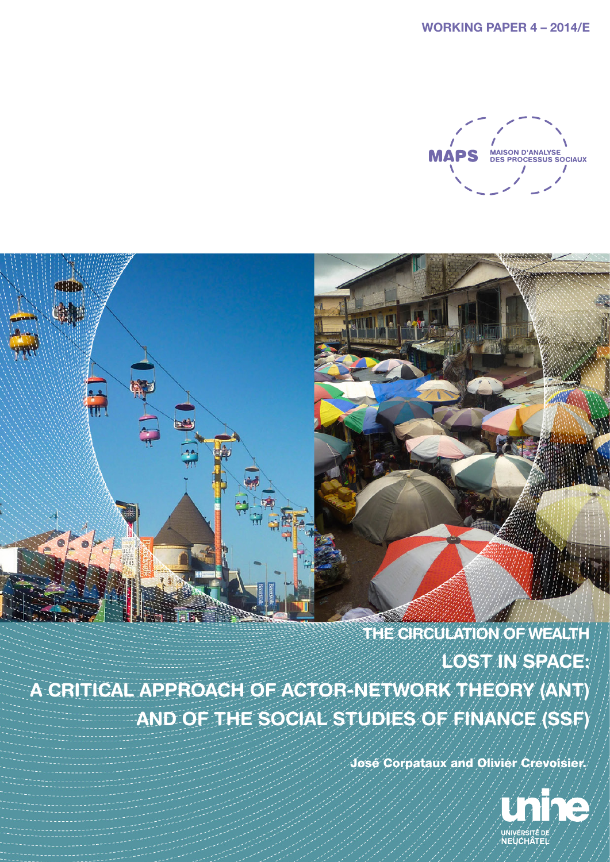



dillit

线地

José Corpataux and Olivier Crevoisier.

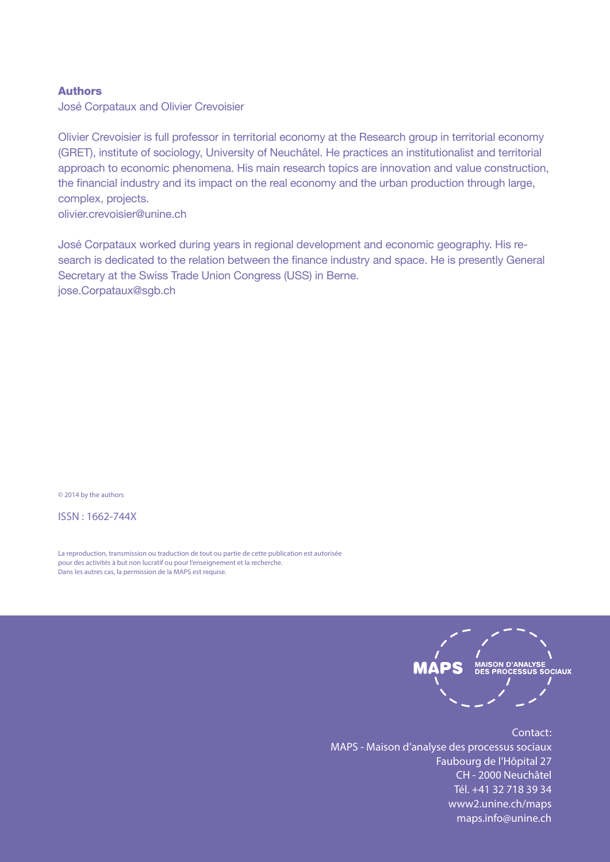#### Authors

José Corpataux and Olivier Crevoisier

Olivier Crevoisier is full professor in territorial economy at the Research group in territorial economy (GRET), institute of sociology, University of Neuchâtel. He practices an institutionalist and territorial approach to economic phenomena. His main research topics are innovation and value construction, the financial industry and its impact on the real economy and the urban production through large, complex, projects.

olivier.crevoisier@unine.ch

José Corpataux worked during years in regional development and economic geography. His research is dedicated to the relation between the finance industry and space. He is presently General Secretary at the Swiss Trade Union Congress (USS) in Berne. jose.Corpataux@sgb.ch

© 2014 by the authors

ISSN : 1662-744X

La reproduction, transmission ou traduction de tout ou partie de cette publication est autorisée pour des activités à but non lucratif ou pour l'enseignement et la recherche. Dans les autres cas, la permission de la MAPS est requise.



Contact: MAPS - Maison d'analyse des processus sociaux Faubourg de l'Hôpital 27 CH - 2000 Neuchâtel Tél. +41 32 718 39 34 www2.unine.ch/maps maps.info@unine.ch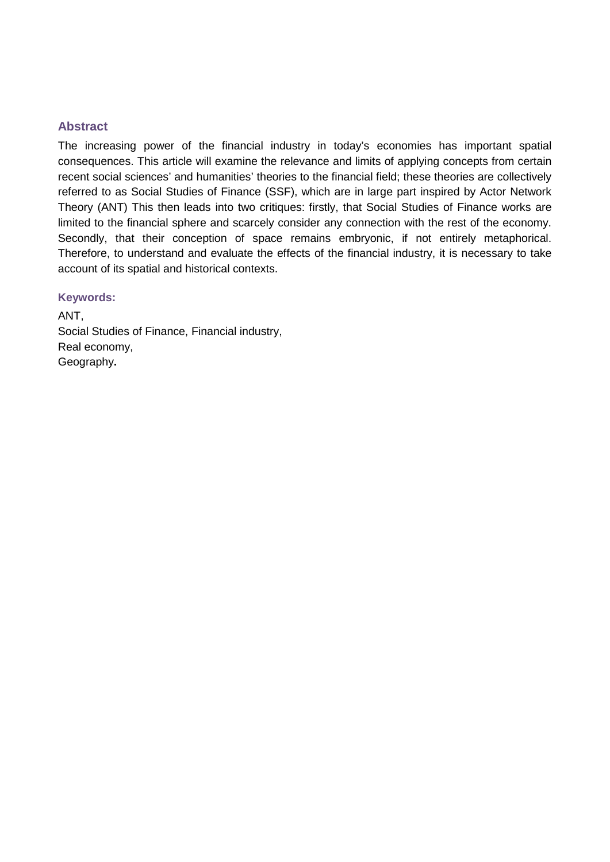#### **Abstract**

The increasing power of the financial industry in today's economies has important spatial consequences. This article will examine the relevance and limits of applying concepts from certain recent social sciences' and humanities' theories to the financial field; these theories are collectively referred to as Social Studies of Finance (SSF), which are in large part inspired by Actor Network Theory (ANT) This then leads into two critiques: firstly, that Social Studies of Finance works are limited to the financial sphere and scarcely consider any connection with the rest of the economy. Secondly, that their conception of space remains embryonic, if not entirely metaphorical. Therefore, to understand and evaluate the effects of the financial industry, it is necessary to take account of its spatial and historical contexts.

#### **Keywords:**

ANT, Social Studies of Finance, Financial industry, Real economy, Geography**.**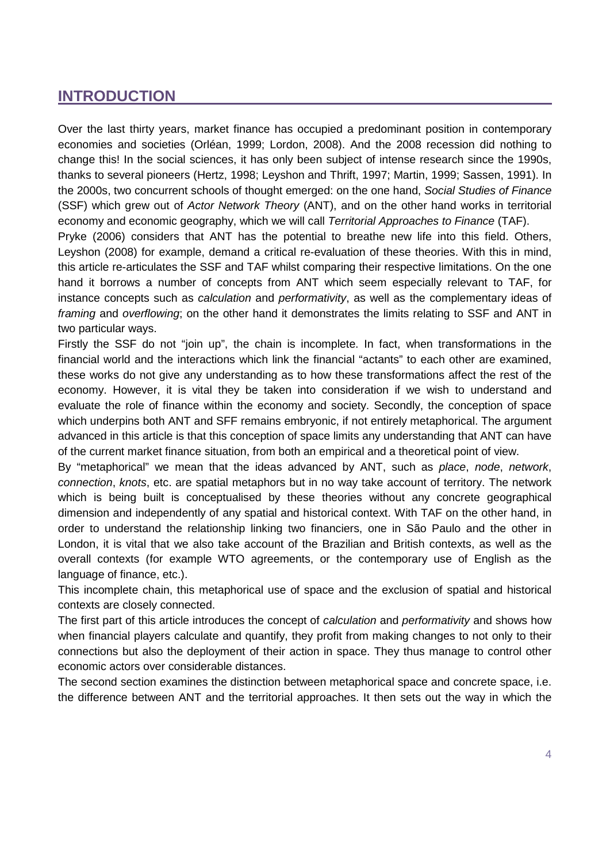## **INTRODUCTION**

Over the last thirty years, market finance has occupied a predominant position in contemporary economies and societies (Orléan, 1999; Lordon, 2008). And the 2008 recession did nothing to change this! In the social sciences, it has only been subject of intense research since the 1990s, thanks to several pioneers (Hertz, 1998; Leyshon and Thrift, 1997; Martin, 1999; Sassen, 1991). In the 2000s, two concurrent schools of thought emerged: on the one hand, *Social Studies of Finance* (SSF) which grew out of *Actor Network Theory* (ANT), and on the other hand works in territorial economy and economic geography, which we will call *Territorial Approaches to Finance* (TAF). Pryke (2006) considers that ANT has the potential to breathe new life into this field. Others, Leyshon (2008) for example, demand a critical re-evaluation of these theories. With this in mind, this article re-articulates the SSF and TAF whilst comparing their respective limitations. On the one

hand it borrows a number of concepts from ANT which seem especially relevant to TAF, for instance concepts such as *calculation* and *performativity*, as well as the complementary ideas of *framing* and *overflowing*; on the other hand it demonstrates the limits relating to SSF and ANT in two particular ways.

Firstly the SSF do not "join up", the chain is incomplete. In fact, when transformations in the financial world and the interactions which link the financial "actants" to each other are examined, these works do not give any understanding as to how these transformations affect the rest of the economy. However, it is vital they be taken into consideration if we wish to understand and evaluate the role of finance within the economy and society. Secondly, the conception of space which underpins both ANT and SFF remains embryonic, if not entirely metaphorical. The argument advanced in this article is that this conception of space limits any understanding that ANT can have of the current market finance situation, from both an empirical and a theoretical point of view.

By "metaphorical" we mean that the ideas advanced by ANT, such as *place*, *node*, *network*, *connection*, *knots*, etc. are spatial metaphors but in no way take account of territory. The network which is being built is conceptualised by these theories without any concrete geographical dimension and independently of any spatial and historical context. With TAF on the other hand, in order to understand the relationship linking two financiers, one in São Paulo and the other in London, it is vital that we also take account of the Brazilian and British contexts, as well as the overall contexts (for example WTO agreements, or the contemporary use of English as the language of finance, etc.).

This incomplete chain, this metaphorical use of space and the exclusion of spatial and historical contexts are closely connected.

The first part of this article introduces the concept of *calculation* and *performativity* and shows how when financial players calculate and quantify, they profit from making changes to not only to their connections but also the deployment of their action in space. They thus manage to control other economic actors over considerable distances.

The second section examines the distinction between metaphorical space and concrete space, i.e. the difference between ANT and the territorial approaches. It then sets out the way in which the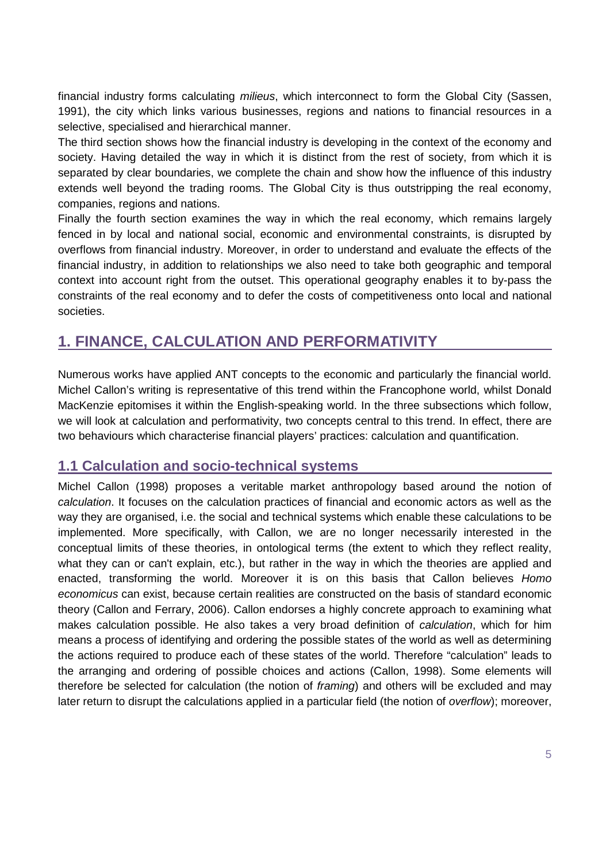financial industry forms calculating *milieus*, which interconnect to form the Global City (Sassen, 1991), the city which links various businesses, regions and nations to financial resources in a selective, specialised and hierarchical manner.

The third section shows how the financial industry is developing in the context of the economy and society. Having detailed the way in which it is distinct from the rest of society, from which it is separated by clear boundaries, we complete the chain and show how the influence of this industry extends well beyond the trading rooms. The Global City is thus outstripping the real economy, companies, regions and nations.

Finally the fourth section examines the way in which the real economy, which remains largely fenced in by local and national social, economic and environmental constraints, is disrupted by overflows from financial industry. Moreover, in order to understand and evaluate the effects of the financial industry, in addition to relationships we also need to take both geographic and temporal context into account right from the outset. This operational geography enables it to by-pass the constraints of the real economy and to defer the costs of competitiveness onto local and national societies.

# **1. FINANCE, CALCULATION AND PERFORMATIVITY**

Numerous works have applied ANT concepts to the economic and particularly the financial world. Michel Callon's writing is representative of this trend within the Francophone world, whilst Donald MacKenzie epitomises it within the English-speaking world. In the three subsections which follow, we will look at calculation and performativity, two concepts central to this trend. In effect, there are two behaviours which characterise financial players' practices: calculation and quantification.

### **1.1 Calculation and socio-technical systems**

Michel Callon (1998) proposes a veritable market anthropology based around the notion of *calculation*. It focuses on the calculation practices of financial and economic actors as well as the way they are organised, i.e. the social and technical systems which enable these calculations to be implemented. More specifically, with Callon, we are no longer necessarily interested in the conceptual limits of these theories, in ontological terms (the extent to which they reflect reality, what they can or can't explain, etc.), but rather in the way in which the theories are applied and enacted, transforming the world. Moreover it is on this basis that Callon believes *Homo economicus* can exist, because certain realities are constructed on the basis of standard economic theory (Callon and Ferrary, 2006). Callon endorses a highly concrete approach to examining what makes calculation possible. He also takes a very broad definition of *calculation*, which for him means a process of identifying and ordering the possible states of the world as well as determining the actions required to produce each of these states of the world. Therefore "calculation" leads to the arranging and ordering of possible choices and actions (Callon, 1998). Some elements will therefore be selected for calculation (the notion of *framing*) and others will be excluded and may later return to disrupt the calculations applied in a particular field (the notion of *overflow*); moreover,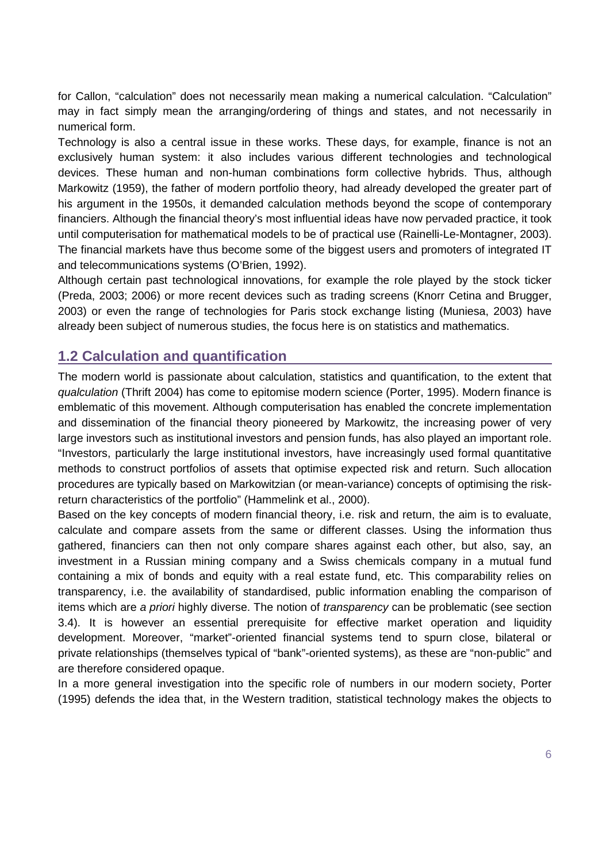for Callon, "calculation" does not necessarily mean making a numerical calculation. "Calculation" may in fact simply mean the arranging/ordering of things and states, and not necessarily in numerical form.

Technology is also a central issue in these works. These days, for example, finance is not an exclusively human system: it also includes various different technologies and technological devices. These human and non-human combinations form collective hybrids. Thus, although Markowitz (1959), the father of modern portfolio theory, had already developed the greater part of his argument in the 1950s, it demanded calculation methods beyond the scope of contemporary financiers. Although the financial theory's most influential ideas have now pervaded practice, it took until computerisation for mathematical models to be of practical use (Rainelli-Le-Montagner, 2003). The financial markets have thus become some of the biggest users and promoters of integrated IT and telecommunications systems (O'Brien, 1992).

Although certain past technological innovations, for example the role played by the stock ticker (Preda, 2003; 2006) or more recent devices such as trading screens (Knorr Cetina and Brugger, 2003) or even the range of technologies for Paris stock exchange listing (Muniesa, 2003) have already been subject of numerous studies, the focus here is on statistics and mathematics.

### **1.2 Calculation and quantification**

The modern world is passionate about calculation, statistics and quantification, to the extent that *qualculation* (Thrift 2004) has come to epitomise modern science (Porter, 1995). Modern finance is emblematic of this movement. Although computerisation has enabled the concrete implementation and dissemination of the financial theory pioneered by Markowitz, the increasing power of very large investors such as institutional investors and pension funds, has also played an important role. "Investors, particularly the large institutional investors, have increasingly used formal quantitative methods to construct portfolios of assets that optimise expected risk and return. Such allocation procedures are typically based on Markowitzian (or mean-variance) concepts of optimising the riskreturn characteristics of the portfolio" (Hammelink et al., 2000).

Based on the key concepts of modern financial theory, i.e. risk and return, the aim is to evaluate, calculate and compare assets from the same or different classes. Using the information thus gathered, financiers can then not only compare shares against each other, but also, say, an investment in a Russian mining company and a Swiss chemicals company in a mutual fund containing a mix of bonds and equity with a real estate fund, etc. This comparability relies on transparency, i.e. the availability of standardised, public information enabling the comparison of items which are *a priori* highly diverse. The notion of *transparency* can be problematic (see section 3.4). It is however an essential prerequisite for effective market operation and liquidity development. Moreover, "market"-oriented financial systems tend to spurn close, bilateral or private relationships (themselves typical of "bank"-oriented systems), as these are "non-public" and are therefore considered opaque.

In a more general investigation into the specific role of numbers in our modern society, Porter (1995) defends the idea that, in the Western tradition, statistical technology makes the objects to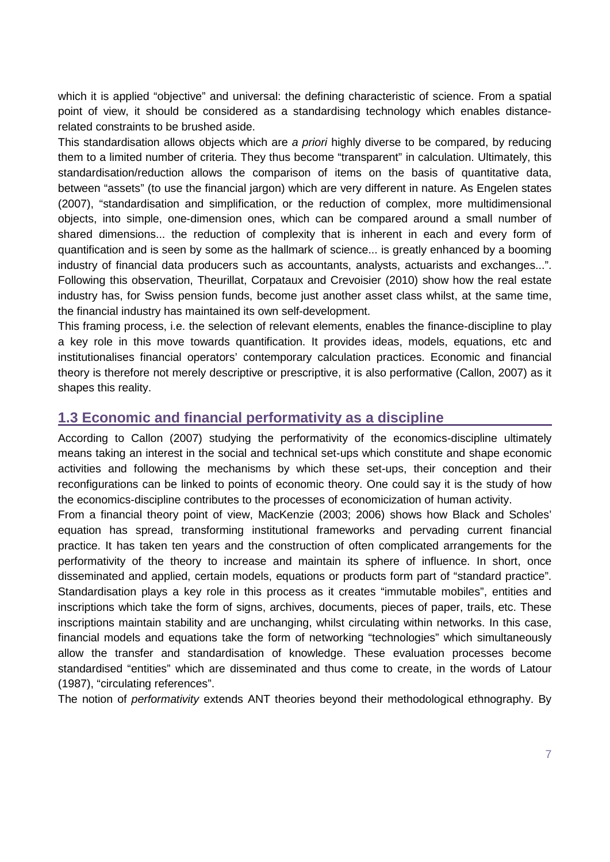which it is applied "objective" and universal: the defining characteristic of science. From a spatial point of view, it should be considered as a standardising technology which enables distancerelated constraints to be brushed aside.

This standardisation allows objects which are *a priori* highly diverse to be compared, by reducing them to a limited number of criteria. They thus become "transparent" in calculation. Ultimately, this standardisation/reduction allows the comparison of items on the basis of quantitative data, between "assets" (to use the financial jargon) which are very different in nature. As Engelen states (2007), "standardisation and simplification, or the reduction of complex, more multidimensional objects, into simple, one-dimension ones, which can be compared around a small number of shared dimensions... the reduction of complexity that is inherent in each and every form of quantification and is seen by some as the hallmark of science... is greatly enhanced by a booming industry of financial data producers such as accountants, analysts, actuarists and exchanges...". Following this observation, Theurillat, Corpataux and Crevoisier (2010) show how the real estate industry has, for Swiss pension funds, become just another asset class whilst, at the same time, the financial industry has maintained its own self-development.

This framing process, i.e. the selection of relevant elements, enables the finance-discipline to play a key role in this move towards quantification. It provides ideas, models, equations, etc and institutionalises financial operators' contemporary calculation practices. Economic and financial theory is therefore not merely descriptive or prescriptive, it is also performative (Callon, 2007) as it shapes this reality.

### **1.3 Economic and financial performativity as a discipline**

According to Callon (2007) studying the performativity of the economics-discipline ultimately means taking an interest in the social and technical set-ups which constitute and shape economic activities and following the mechanisms by which these set-ups, their conception and their reconfigurations can be linked to points of economic theory. One could say it is the study of how the economics-discipline contributes to the processes of economicization of human activity.

From a financial theory point of view, MacKenzie (2003; 2006) shows how Black and Scholes' equation has spread, transforming institutional frameworks and pervading current financial practice. It has taken ten years and the construction of often complicated arrangements for the performativity of the theory to increase and maintain its sphere of influence. In short, once disseminated and applied, certain models, equations or products form part of "standard practice". Standardisation plays a key role in this process as it creates "immutable mobiles", entities and inscriptions which take the form of signs, archives, documents, pieces of paper, trails, etc. These inscriptions maintain stability and are unchanging, whilst circulating within networks. In this case, financial models and equations take the form of networking "technologies" which simultaneously allow the transfer and standardisation of knowledge. These evaluation processes become standardised "entities" which are disseminated and thus come to create, in the words of Latour (1987), "circulating references".

The notion of *performativity* extends ANT theories beyond their methodological ethnography. By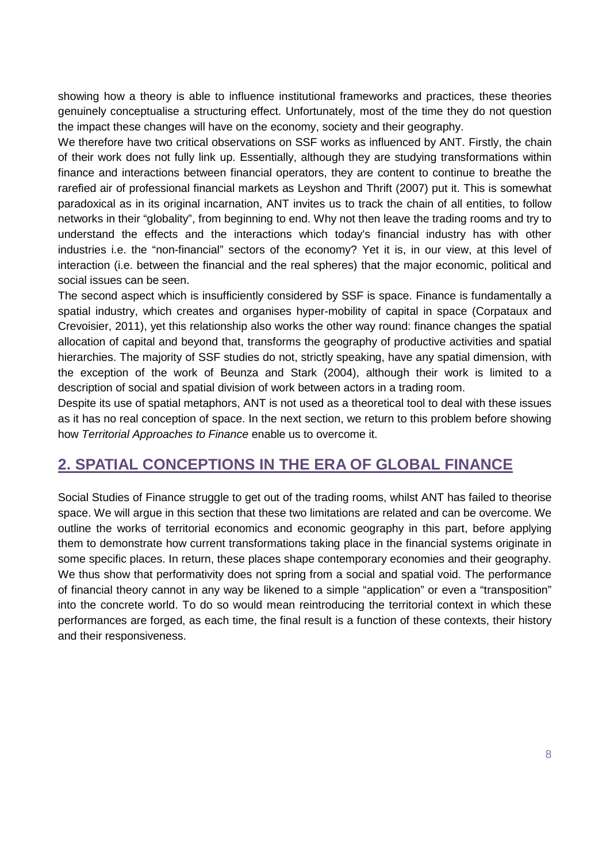showing how a theory is able to influence institutional frameworks and practices, these theories genuinely conceptualise a structuring effect. Unfortunately, most of the time they do not question the impact these changes will have on the economy, society and their geography.

We therefore have two critical observations on SSF works as influenced by ANT. Firstly, the chain of their work does not fully link up. Essentially, although they are studying transformations within finance and interactions between financial operators, they are content to continue to breathe the rarefied air of professional financial markets as Leyshon and Thrift (2007) put it. This is somewhat paradoxical as in its original incarnation, ANT invites us to track the chain of all entities, to follow networks in their "globality", from beginning to end. Why not then leave the trading rooms and try to understand the effects and the interactions which today's financial industry has with other industries i.e. the "non-financial" sectors of the economy? Yet it is, in our view, at this level of interaction (i.e. between the financial and the real spheres) that the major economic, political and social issues can be seen.

The second aspect which is insufficiently considered by SSF is space. Finance is fundamentally a spatial industry, which creates and organises hyper-mobility of capital in space (Corpataux and Crevoisier, 2011), yet this relationship also works the other way round: finance changes the spatial allocation of capital and beyond that, transforms the geography of productive activities and spatial hierarchies. The majority of SSF studies do not, strictly speaking, have any spatial dimension, with the exception of the work of Beunza and Stark (2004), although their work is limited to a description of social and spatial division of work between actors in a trading room.

Despite its use of spatial metaphors, ANT is not used as a theoretical tool to deal with these issues as it has no real conception of space. In the next section, we return to this problem before showing how *Territorial Approaches to Finance* enable us to overcome it.

## **2. SPATIAL CONCEPTIONS IN THE ERA OF GLOBAL FINANCE**

Social Studies of Finance struggle to get out of the trading rooms, whilst ANT has failed to theorise space. We will argue in this section that these two limitations are related and can be overcome. We outline the works of territorial economics and economic geography in this part, before applying them to demonstrate how current transformations taking place in the financial systems originate in some specific places. In return, these places shape contemporary economies and their geography. We thus show that performativity does not spring from a social and spatial void. The performance of financial theory cannot in any way be likened to a simple "application" or even a "transposition" into the concrete world. To do so would mean reintroducing the territorial context in which these performances are forged, as each time, the final result is a function of these contexts, their history and their responsiveness.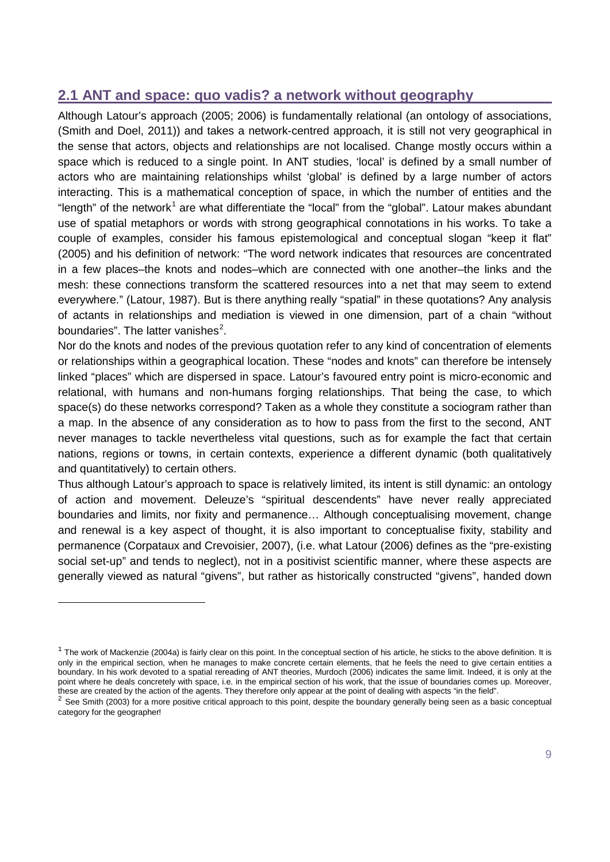### **2.1 ANT and space: quo vadis? a network without geography**

Although Latour's approach (2005; 2006) is fundamentally relational (an ontology of associations, (Smith and Doel, 2011)) and takes a network-centred approach, it is still not very geographical in the sense that actors, objects and relationships are not localised. Change mostly occurs within a space which is reduced to a single point. In ANT studies, 'local' is defined by a small number of actors who are maintaining relationships whilst 'global' is defined by a large number of actors interacting. This is a mathematical conception of space, in which the number of entities and the "length" of the network<sup>[1](#page-8-0)</sup> are what differentiate the "local" from the "global". Latour makes abundant use of spatial metaphors or words with strong geographical connotations in his works. To take a couple of examples, consider his famous epistemological and conceptual slogan "keep it flat" (2005) and his definition of network: "The word network indicates that resources are concentrated in a few places–the knots and nodes–which are connected with one another–the links and the mesh: these connections transform the scattered resources into a net that may seem to extend everywhere." (Latour, 1987). But is there anything really "spatial" in these quotations? Any analysis of actants in relationships and mediation is viewed in one dimension, part of a chain "without boundaries". The latter vanishes $2$ .

Nor do the knots and nodes of the previous quotation refer to any kind of concentration of elements or relationships within a geographical location. These "nodes and knots" can therefore be intensely linked "places" which are dispersed in space. Latour's favoured entry point is micro-economic and relational, with humans and non-humans forging relationships. That being the case, to which space(s) do these networks correspond? Taken as a whole they constitute a sociogram rather than a map. In the absence of any consideration as to how to pass from the first to the second, ANT never manages to tackle nevertheless vital questions, such as for example the fact that certain nations, regions or towns, in certain contexts, experience a different dynamic (both qualitatively and quantitatively) to certain others.

Thus although Latour's approach to space is relatively limited, its intent is still dynamic: an ontology of action and movement. Deleuze's "spiritual descendents" have never really appreciated boundaries and limits, nor fixity and permanence… Although conceptualising movement, change and renewal is a key aspect of thought, it is also important to conceptualise fixity, stability and permanence (Corpataux and Crevoisier, 2007), (i.e. what Latour (2006) defines as the "pre-existing social set-up" and tends to neglect), not in a positivist scientific manner, where these aspects are generally viewed as natural "givens", but rather as historically constructed "givens", handed down

-

<span id="page-8-0"></span> $1$  The work of Mackenzie (2004a) is fairly clear on this point. In the conceptual section of his article, he sticks to the above definition. It is only in the empirical section, when he manages to make concrete certain elements, that he feels the need to give certain entities a boundary. In his work devoted to a spatial rereading of ANT theories, Murdoch (2006) indicates the same limit. Indeed, it is only at the point where he deals concretely with space, i.e. in the empirical section of his work, that the issue of boundaries comes up. Moreover, these are created by the action of the agents. They therefore only appear at the point of dealing with aspects "in the field".

<span id="page-8-1"></span> $2$  See Smith (2003) for a more positive critical approach to this point, despite the boundary generally being seen as a basic conceptual category for the geographer!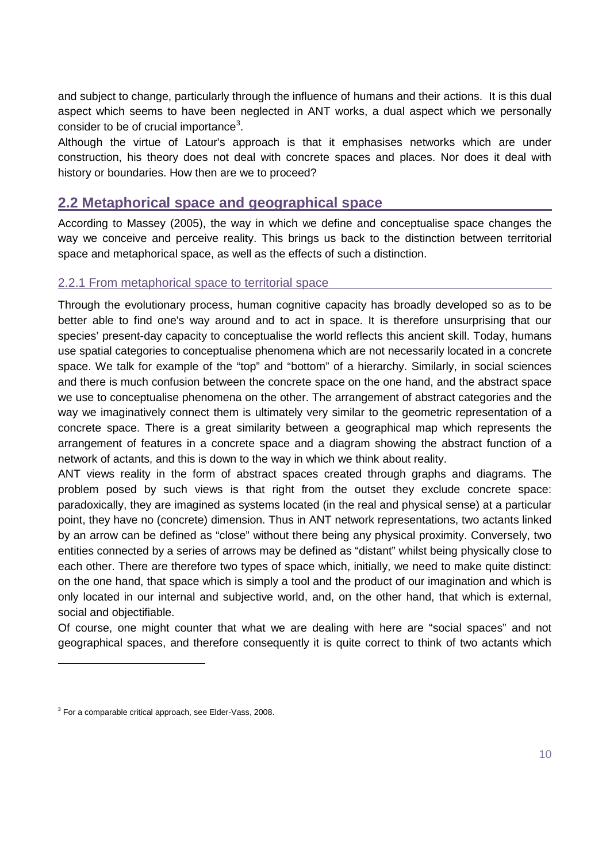and subject to change, particularly through the influence of humans and their actions. It is this dual aspect which seems to have been neglected in ANT works, a dual aspect which we personally consider to be of crucial importance $3$ .

Although the virtue of Latour's approach is that it emphasises networks which are under construction, his theory does not deal with concrete spaces and places. Nor does it deal with history or boundaries. How then are we to proceed?

### **2.2 Metaphorical space and geographical space**

According to Massey (2005), the way in which we define and conceptualise space changes the way we conceive and perceive reality. This brings us back to the distinction between territorial space and metaphorical space, as well as the effects of such a distinction.

#### 2.2.1 From metaphorical space to territorial space

Through the evolutionary process, human cognitive capacity has broadly developed so as to be better able to find one's way around and to act in space. It is therefore unsurprising that our species' present-day capacity to conceptualise the world reflects this ancient skill. Today, humans use spatial categories to conceptualise phenomena which are not necessarily located in a concrete space. We talk for example of the "top" and "bottom" of a hierarchy. Similarly, in social sciences and there is much confusion between the concrete space on the one hand, and the abstract space we use to conceptualise phenomena on the other. The arrangement of abstract categories and the way we imaginatively connect them is ultimately very similar to the geometric representation of a concrete space. There is a great similarity between a geographical map which represents the arrangement of features in a concrete space and a diagram showing the abstract function of a network of actants, and this is down to the way in which we think about reality.

ANT views reality in the form of abstract spaces created through graphs and diagrams. The problem posed by such views is that right from the outset they exclude concrete space: paradoxically, they are imagined as systems located (in the real and physical sense) at a particular point, they have no (concrete) dimension. Thus in ANT network representations, two actants linked by an arrow can be defined as "close" without there being any physical proximity. Conversely, two entities connected by a series of arrows may be defined as "distant" whilst being physically close to each other. There are therefore two types of space which, initially, we need to make quite distinct: on the one hand, that space which is simply a tool and the product of our imagination and which is only located in our internal and subjective world, and, on the other hand, that which is external, social and objectifiable.

Of course, one might counter that what we are dealing with here are "social spaces" and not geographical spaces, and therefore consequently it is quite correct to think of two actants which

-

<span id="page-9-0"></span><sup>3</sup> For a comparable critical approach, see Elder-Vass, 2008.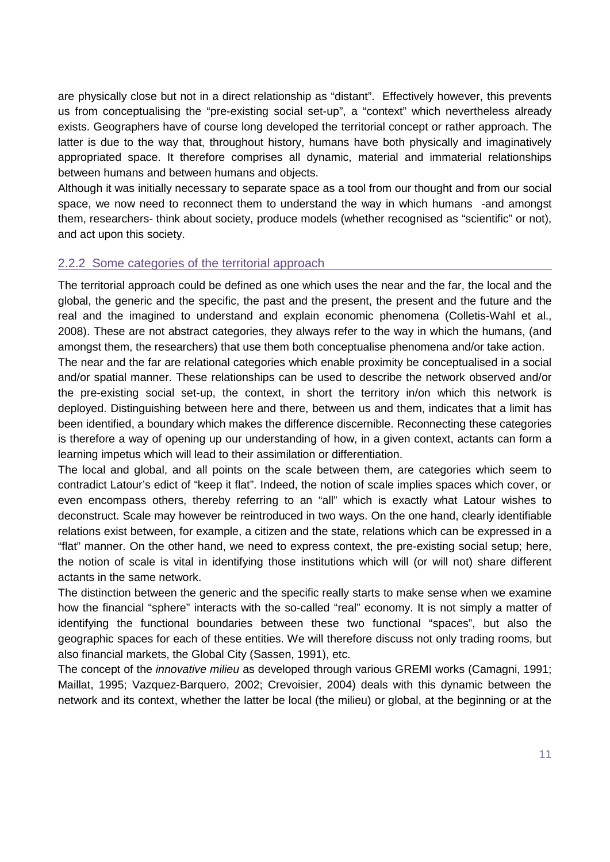are physically close but not in a direct relationship as "distant". Effectively however, this prevents us from conceptualising the "pre-existing social set-up", a "context" which nevertheless already exists. Geographers have of course long developed the territorial concept or rather approach. The latter is due to the way that, throughout history, humans have both physically and imaginatively appropriated space. It therefore comprises all dynamic, material and immaterial relationships between humans and between humans and objects.

Although it was initially necessary to separate space as a tool from our thought and from our social space, we now need to reconnect them to understand the way in which humans -and amongst them, researchers- think about society, produce models (whether recognised as "scientific" or not), and act upon this society.

#### 2.2.2 Some categories of the territorial approach

The territorial approach could be defined as one which uses the near and the far, the local and the global, the generic and the specific, the past and the present, the present and the future and the real and the imagined to understand and explain economic phenomena (Colletis-Wahl et al., 2008). These are not abstract categories, they always refer to the way in which the humans, (and amongst them, the researchers) that use them both conceptualise phenomena and/or take action.

The near and the far are relational categories which enable proximity be conceptualised in a social and/or spatial manner. These relationships can be used to describe the network observed and/or the pre-existing social set-up, the context, in short the territory in/on which this network is deployed. Distinguishing between here and there, between us and them, indicates that a limit has been identified, a boundary which makes the difference discernible. Reconnecting these categories is therefore a way of opening up our understanding of how, in a given context, actants can form a learning impetus which will lead to their assimilation or differentiation.

The local and global, and all points on the scale between them, are categories which seem to contradict Latour's edict of "keep it flat". Indeed, the notion of scale implies spaces which cover, or even encompass others, thereby referring to an "all" which is exactly what Latour wishes to deconstruct. Scale may however be reintroduced in two ways. On the one hand, clearly identifiable relations exist between, for example, a citizen and the state, relations which can be expressed in a "flat" manner. On the other hand, we need to express context, the pre-existing social setup; here, the notion of scale is vital in identifying those institutions which will (or will not) share different actants in the same network.

The distinction between the generic and the specific really starts to make sense when we examine how the financial "sphere" interacts with the so-called "real" economy. It is not simply a matter of identifying the functional boundaries between these two functional "spaces", but also the geographic spaces for each of these entities. We will therefore discuss not only trading rooms, but also financial markets, the Global City (Sassen, 1991), etc.

The concept of the *innovative milieu* as developed through various GREMI works (Camagni, 1991; Maillat, 1995; Vazquez-Barquero, 2002; Crevoisier, 2004) deals with this dynamic between the network and its context, whether the latter be local (the milieu) or global, at the beginning or at the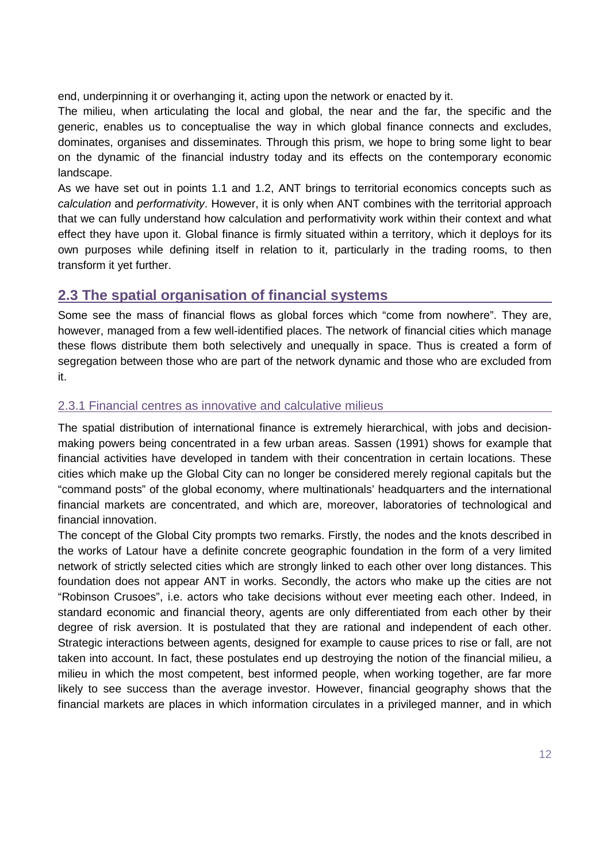end, underpinning it or overhanging it, acting upon the network or enacted by it.

The milieu, when articulating the local and global, the near and the far, the specific and the generic, enables us to conceptualise the way in which global finance connects and excludes, dominates, organises and disseminates. Through this prism, we hope to bring some light to bear on the dynamic of the financial industry today and its effects on the contemporary economic landscape.

As we have set out in points 1.1 and 1.2, ANT brings to territorial economics concepts such as *calculation* and *performativity*. However, it is only when ANT combines with the territorial approach that we can fully understand how calculation and performativity work within their context and what effect they have upon it. Global finance is firmly situated within a territory, which it deploys for its own purposes while defining itself in relation to it, particularly in the trading rooms, to then transform it yet further.

### **2.3 The spatial organisation of financial systems**

Some see the mass of financial flows as global forces which "come from nowhere". They are, however, managed from a few well-identified places. The network of financial cities which manage these flows distribute them both selectively and unequally in space. Thus is created a form of segregation between those who are part of the network dynamic and those who are excluded from it.

#### 2.3.1 Financial centres as innovative and calculative milieus

The spatial distribution of international finance is extremely hierarchical, with jobs and decisionmaking powers being concentrated in a few urban areas. Sassen (1991) shows for example that financial activities have developed in tandem with their concentration in certain locations. These cities which make up the Global City can no longer be considered merely regional capitals but the "command posts" of the global economy, where multinationals' headquarters and the international financial markets are concentrated, and which are, moreover, laboratories of technological and financial innovation.

The concept of the Global City prompts two remarks. Firstly, the nodes and the knots described in the works of Latour have a definite concrete geographic foundation in the form of a very limited network of strictly selected cities which are strongly linked to each other over long distances. This foundation does not appear ANT in works. Secondly, the actors who make up the cities are not "Robinson Crusoes", i.e. actors who take decisions without ever meeting each other. Indeed, in standard economic and financial theory, agents are only differentiated from each other by their degree of risk aversion. It is postulated that they are rational and independent of each other. Strategic interactions between agents, designed for example to cause prices to rise or fall, are not taken into account. In fact, these postulates end up destroying the notion of the financial milieu, a milieu in which the most competent, best informed people, when working together, are far more likely to see success than the average investor. However, financial geography shows that the financial markets are places in which information circulates in a privileged manner, and in which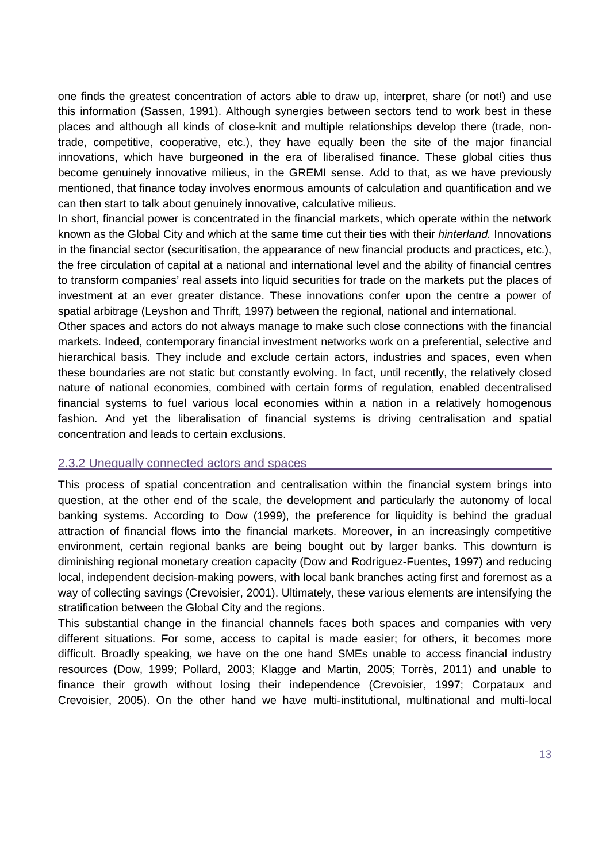one finds the greatest concentration of actors able to draw up, interpret, share (or not!) and use this information (Sassen, 1991). Although synergies between sectors tend to work best in these places and although all kinds of close-knit and multiple relationships develop there (trade, nontrade, competitive, cooperative, etc.), they have equally been the site of the major financial innovations, which have burgeoned in the era of liberalised finance. These global cities thus become genuinely innovative milieus, in the GREMI sense. Add to that, as we have previously mentioned, that finance today involves enormous amounts of calculation and quantification and we can then start to talk about genuinely innovative, calculative milieus.

In short, financial power is concentrated in the financial markets, which operate within the network known as the Global City and which at the same time cut their ties with their *hinterland.* Innovations in the financial sector (securitisation, the appearance of new financial products and practices, etc.), the free circulation of capital at a national and international level and the ability of financial centres to transform companies' real assets into liquid securities for trade on the markets put the places of investment at an ever greater distance. These innovations confer upon the centre a power of spatial arbitrage (Leyshon and Thrift, 1997) between the regional, national and international.

Other spaces and actors do not always manage to make such close connections with the financial markets. Indeed, contemporary financial investment networks work on a preferential, selective and hierarchical basis. They include and exclude certain actors, industries and spaces, even when these boundaries are not static but constantly evolving. In fact, until recently, the relatively closed nature of national economies, combined with certain forms of regulation, enabled decentralised financial systems to fuel various local economies within a nation in a relatively homogenous fashion. And yet the liberalisation of financial systems is driving centralisation and spatial concentration and leads to certain exclusions.

#### 2.3.2 Unequally connected actors and spaces

This process of spatial concentration and centralisation within the financial system brings into question, at the other end of the scale, the development and particularly the autonomy of local banking systems. According to Dow (1999), the preference for liquidity is behind the gradual attraction of financial flows into the financial markets. Moreover, in an increasingly competitive environment, certain regional banks are being bought out by larger banks. This downturn is diminishing regional monetary creation capacity (Dow and Rodriguez-Fuentes, 1997) and reducing local, independent decision-making powers, with local bank branches acting first and foremost as a way of collecting savings (Crevoisier, 2001). Ultimately, these various elements are intensifying the stratification between the Global City and the regions.

This substantial change in the financial channels faces both spaces and companies with very different situations. For some, access to capital is made easier; for others, it becomes more difficult. Broadly speaking, we have on the one hand SMEs unable to access financial industry resources (Dow, 1999; Pollard, 2003; Klagge and Martin, 2005; Torrès, 2011) and unable to finance their growth without losing their independence (Crevoisier, 1997; Corpataux and Crevoisier, 2005). On the other hand we have multi-institutional, multinational and multi-local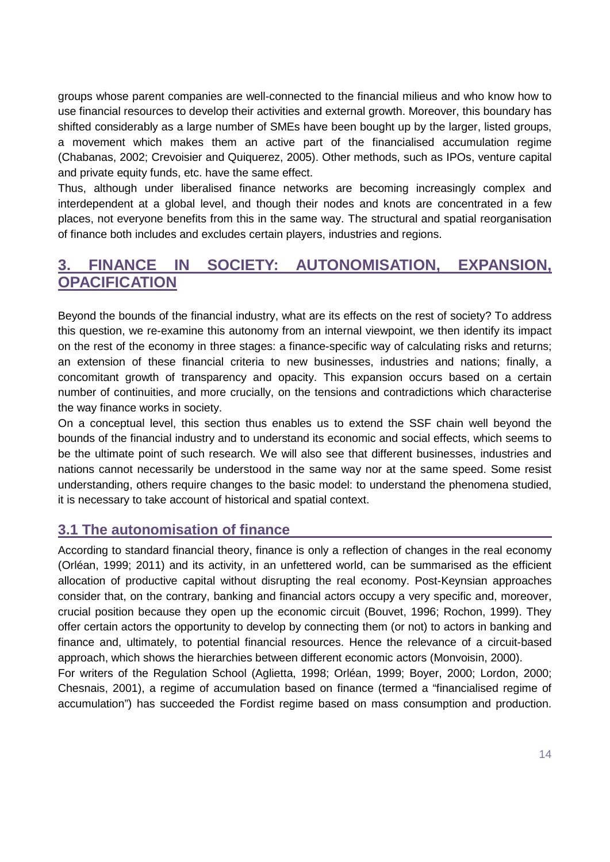groups whose parent companies are well-connected to the financial milieus and who know how to use financial resources to develop their activities and external growth. Moreover, this boundary has shifted considerably as a large number of SMEs have been bought up by the larger, listed groups, a movement which makes them an active part of the financialised accumulation regime (Chabanas, 2002; Crevoisier and Quiquerez, 2005). Other methods, such as IPOs, venture capital and private equity funds, etc. have the same effect.

Thus, although under liberalised finance networks are becoming increasingly complex and interdependent at a global level, and though their nodes and knots are concentrated in a few places, not everyone benefits from this in the same way. The structural and spatial reorganisation of finance both includes and excludes certain players, industries and regions.

## **3. FINANCE IN SOCIETY: AUTONOMISATION, EXPANSION, OPACIFICATION**

Beyond the bounds of the financial industry, what are its effects on the rest of society? To address this question, we re-examine this autonomy from an internal viewpoint, we then identify its impact on the rest of the economy in three stages: a finance-specific way of calculating risks and returns; an extension of these financial criteria to new businesses, industries and nations; finally, a concomitant growth of transparency and opacity. This expansion occurs based on a certain number of continuities, and more crucially, on the tensions and contradictions which characterise the way finance works in society.

On a conceptual level, this section thus enables us to extend the SSF chain well beyond the bounds of the financial industry and to understand its economic and social effects, which seems to be the ultimate point of such research. We will also see that different businesses, industries and nations cannot necessarily be understood in the same way nor at the same speed. Some resist understanding, others require changes to the basic model: to understand the phenomena studied, it is necessary to take account of historical and spatial context.

### **3.1 The autonomisation of finance**

According to standard financial theory, finance is only a reflection of changes in the real economy (Orléan, 1999; 2011) and its activity, in an unfettered world, can be summarised as the efficient allocation of productive capital without disrupting the real economy. Post-Keynsian approaches consider that, on the contrary, banking and financial actors occupy a very specific and, moreover, crucial position because they open up the economic circuit (Bouvet, 1996; Rochon, 1999). They offer certain actors the opportunity to develop by connecting them (or not) to actors in banking and finance and, ultimately, to potential financial resources. Hence the relevance of a circuit-based approach, which shows the hierarchies between different economic actors (Monvoisin, 2000).

For writers of the Regulation School (Aglietta, 1998; Orléan, 1999; Boyer, 2000; Lordon, 2000; Chesnais, 2001), a regime of accumulation based on finance (termed a "financialised regime of accumulation") has succeeded the Fordist regime based on mass consumption and production.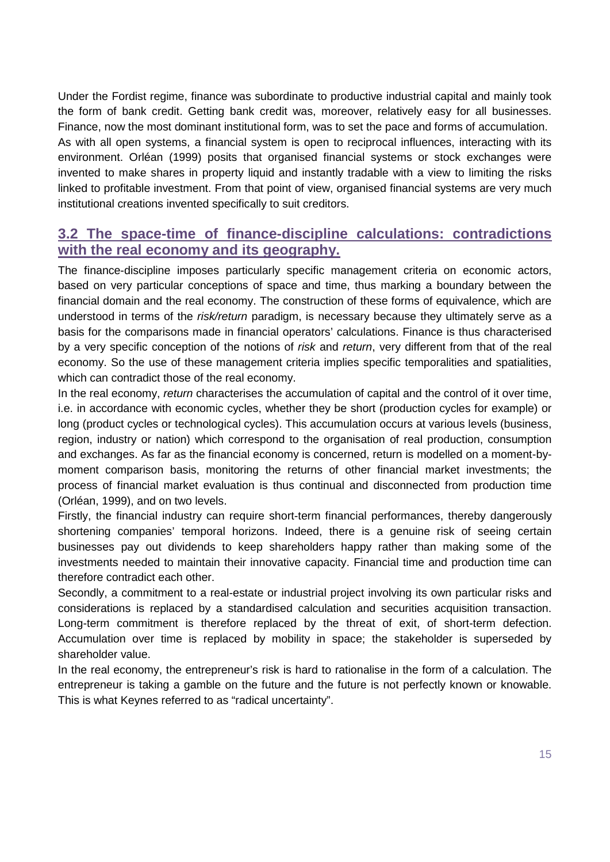Under the Fordist regime, finance was subordinate to productive industrial capital and mainly took the form of bank credit. Getting bank credit was, moreover, relatively easy for all businesses. Finance, now the most dominant institutional form, was to set the pace and forms of accumulation. As with all open systems, a financial system is open to reciprocal influences, interacting with its environment. Orléan (1999) posits that organised financial systems or stock exchanges were invented to make shares in property liquid and instantly tradable with a view to limiting the risks linked to profitable investment. From that point of view, organised financial systems are very much institutional creations invented specifically to suit creditors.

### **3.2 The space-time of finance-discipline calculations: contradictions with the real economy and its geography.**

The finance-discipline imposes particularly specific management criteria on economic actors, based on very particular conceptions of space and time, thus marking a boundary between the financial domain and the real economy. The construction of these forms of equivalence, which are understood in terms of the *risk/return* paradigm, is necessary because they ultimately serve as a basis for the comparisons made in financial operators' calculations. Finance is thus characterised by a very specific conception of the notions of *risk* and *return*, very different from that of the real economy. So the use of these management criteria implies specific temporalities and spatialities, which can contradict those of the real economy.

In the real economy, *return* characterises the accumulation of capital and the control of it over time, i.e. in accordance with economic cycles, whether they be short (production cycles for example) or long (product cycles or technological cycles). This accumulation occurs at various levels (business, region, industry or nation) which correspond to the organisation of real production, consumption and exchanges. As far as the financial economy is concerned, return is modelled on a moment-bymoment comparison basis, monitoring the returns of other financial market investments; the process of financial market evaluation is thus continual and disconnected from production time (Orléan, 1999), and on two levels.

Firstly, the financial industry can require short-term financial performances, thereby dangerously shortening companies' temporal horizons. Indeed, there is a genuine risk of seeing certain businesses pay out dividends to keep shareholders happy rather than making some of the investments needed to maintain their innovative capacity. Financial time and production time can therefore contradict each other.

Secondly, a commitment to a real-estate or industrial project involving its own particular risks and considerations is replaced by a standardised calculation and securities acquisition transaction. Long-term commitment is therefore replaced by the threat of exit, of short-term defection. Accumulation over time is replaced by mobility in space; the stakeholder is superseded by shareholder value.

In the real economy, the entrepreneur's risk is hard to rationalise in the form of a calculation. The entrepreneur is taking a gamble on the future and the future is not perfectly known or knowable. This is what Keynes referred to as "radical uncertainty".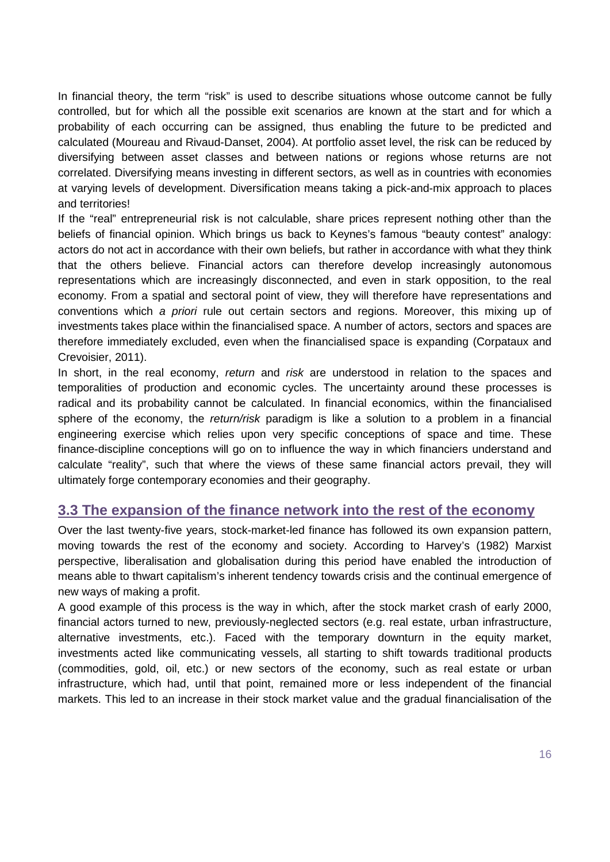In financial theory, the term "risk" is used to describe situations whose outcome cannot be fully controlled, but for which all the possible exit scenarios are known at the start and for which a probability of each occurring can be assigned, thus enabling the future to be predicted and calculated (Moureau and Rivaud-Danset, 2004). At portfolio asset level, the risk can be reduced by diversifying between asset classes and between nations or regions whose returns are not correlated. Diversifying means investing in different sectors, as well as in countries with economies at varying levels of development. Diversification means taking a pick-and-mix approach to places and territories!

If the "real" entrepreneurial risk is not calculable, share prices represent nothing other than the beliefs of financial opinion. Which brings us back to Keynes's famous "beauty contest" analogy: actors do not act in accordance with their own beliefs, but rather in accordance with what they think that the others believe. Financial actors can therefore develop increasingly autonomous representations which are increasingly disconnected, and even in stark opposition, to the real economy. From a spatial and sectoral point of view, they will therefore have representations and conventions which *a priori* rule out certain sectors and regions. Moreover, this mixing up of investments takes place within the financialised space. A number of actors, sectors and spaces are therefore immediately excluded, even when the financialised space is expanding (Corpataux and Crevoisier, 2011).

In short, in the real economy, *return* and *risk* are understood in relation to the spaces and temporalities of production and economic cycles. The uncertainty around these processes is radical and its probability cannot be calculated. In financial economics, within the financialised sphere of the economy, the *return/risk* paradigm is like a solution to a problem in a financial engineering exercise which relies upon very specific conceptions of space and time. These finance-discipline conceptions will go on to influence the way in which financiers understand and calculate "reality", such that where the views of these same financial actors prevail, they will ultimately forge contemporary economies and their geography.

### **3.3 The expansion of the finance network into the rest of the economy**

Over the last twenty-five years, stock-market-led finance has followed its own expansion pattern, moving towards the rest of the economy and society. According to Harvey's (1982) Marxist perspective, liberalisation and globalisation during this period have enabled the introduction of means able to thwart capitalism's inherent tendency towards crisis and the continual emergence of new ways of making a profit.

A good example of this process is the way in which, after the stock market crash of early 2000, financial actors turned to new, previously-neglected sectors (e.g. real estate, urban infrastructure, alternative investments, etc.). Faced with the temporary downturn in the equity market, investments acted like communicating vessels, all starting to shift towards traditional products (commodities, gold, oil, etc.) or new sectors of the economy, such as real estate or urban infrastructure, which had, until that point, remained more or less independent of the financial markets. This led to an increase in their stock market value and the gradual financialisation of the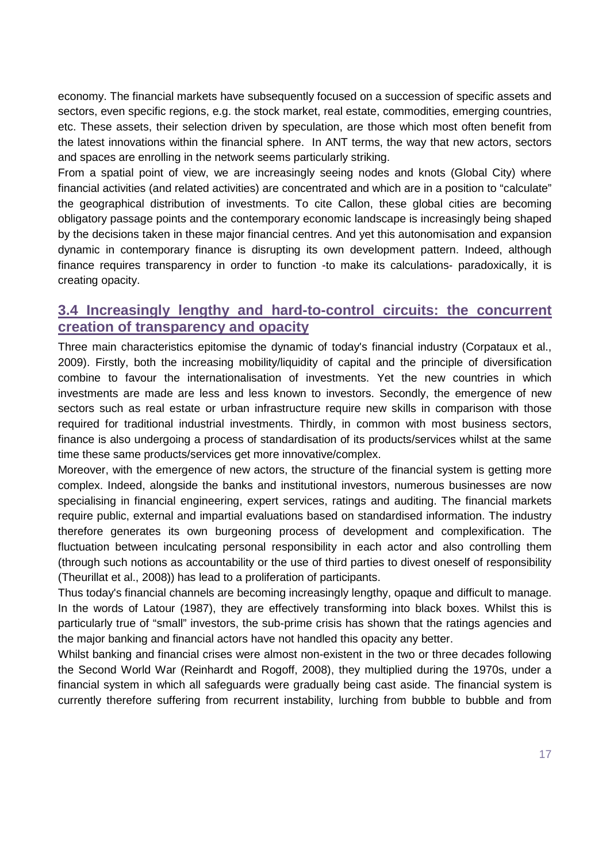economy. The financial markets have subsequently focused on a succession of specific assets and sectors, even specific regions, e.g. the stock market, real estate, commodities, emerging countries, etc. These assets, their selection driven by speculation, are those which most often benefit from the latest innovations within the financial sphere. In ANT terms, the way that new actors, sectors and spaces are enrolling in the network seems particularly striking.

From a spatial point of view, we are increasingly seeing nodes and knots (Global City) where financial activities (and related activities) are concentrated and which are in a position to "calculate" the geographical distribution of investments. To cite Callon, these global cities are becoming obligatory passage points and the contemporary economic landscape is increasingly being shaped by the decisions taken in these major financial centres. And yet this autonomisation and expansion dynamic in contemporary finance is disrupting its own development pattern. Indeed, although finance requires transparency in order to function -to make its calculations- paradoxically, it is creating opacity.

### **3.4 Increasingly lengthy and hard-to-control circuits: the concurrent creation of transparency and opacity**

Three main characteristics epitomise the dynamic of today's financial industry (Corpataux et al., 2009). Firstly, both the increasing mobility/liquidity of capital and the principle of diversification combine to favour the internationalisation of investments. Yet the new countries in which investments are made are less and less known to investors. Secondly, the emergence of new sectors such as real estate or urban infrastructure require new skills in comparison with those required for traditional industrial investments. Thirdly, in common with most business sectors, finance is also undergoing a process of standardisation of its products/services whilst at the same time these same products/services get more innovative/complex.

Moreover, with the emergence of new actors, the structure of the financial system is getting more complex. Indeed, alongside the banks and institutional investors, numerous businesses are now specialising in financial engineering, expert services, ratings and auditing. The financial markets require public, external and impartial evaluations based on standardised information. The industry therefore generates its own burgeoning process of development and complexification. The fluctuation between inculcating personal responsibility in each actor and also controlling them (through such notions as accountability or the use of third parties to divest oneself of responsibility (Theurillat et al., 2008)) has lead to a proliferation of participants.

Thus today's financial channels are becoming increasingly lengthy, opaque and difficult to manage. In the words of Latour (1987), they are effectively transforming into black boxes. Whilst this is particularly true of "small" investors, the sub-prime crisis has shown that the ratings agencies and the major banking and financial actors have not handled this opacity any better.

Whilst banking and financial crises were almost non-existent in the two or three decades following the Second World War (Reinhardt and Rogoff, 2008), they multiplied during the 1970s, under a financial system in which all safeguards were gradually being cast aside. The financial system is currently therefore suffering from recurrent instability, lurching from bubble to bubble and from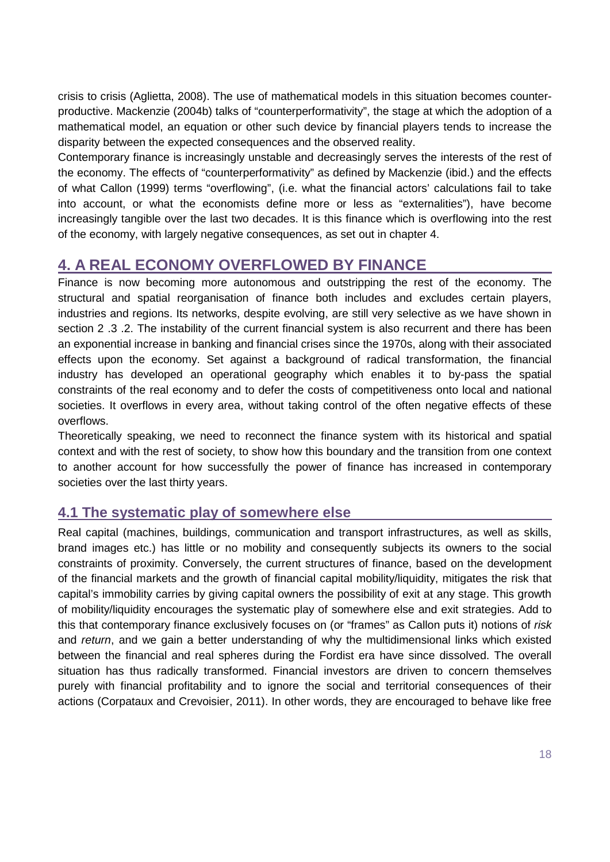crisis to crisis (Aglietta, 2008). The use of mathematical models in this situation becomes counterproductive. Mackenzie (2004b) talks of "counterperformativity", the stage at which the adoption of a mathematical model, an equation or other such device by financial players tends to increase the disparity between the expected consequences and the observed reality.

Contemporary finance is increasingly unstable and decreasingly serves the interests of the rest of the economy. The effects of "counterperformativity" as defined by Mackenzie (ibid.) and the effects of what Callon (1999) terms "overflowing", (i.e. what the financial actors' calculations fail to take into account, or what the economists define more or less as "externalities"), have become increasingly tangible over the last two decades. It is this finance which is overflowing into the rest of the economy, with largely negative consequences, as set out in chapter 4.

# **4. A REAL ECONOMY OVERFLOWED BY FINANCE**

Finance is now becoming more autonomous and outstripping the rest of the economy. The structural and spatial reorganisation of finance both includes and excludes certain players, industries and regions. Its networks, despite evolving, are still very selective as we have shown in section 2 .3 .2. The instability of the current financial system is also recurrent and there has been an exponential increase in banking and financial crises since the 1970s, along with their associated effects upon the economy. Set against a background of radical transformation, the financial industry has developed an operational geography which enables it to by-pass the spatial constraints of the real economy and to defer the costs of competitiveness onto local and national societies. It overflows in every area, without taking control of the often negative effects of these overflows.

Theoretically speaking, we need to reconnect the finance system with its historical and spatial context and with the rest of society, to show how this boundary and the transition from one context to another account for how successfully the power of finance has increased in contemporary societies over the last thirty years.

## **4.1 The systematic play of somewhere else**

Real capital (machines, buildings, communication and transport infrastructures, as well as skills, brand images etc.) has little or no mobility and consequently subjects its owners to the social constraints of proximity. Conversely, the current structures of finance, based on the development of the financial markets and the growth of financial capital mobility/liquidity, mitigates the risk that capital's immobility carries by giving capital owners the possibility of exit at any stage. This growth of mobility/liquidity encourages the systematic play of somewhere else and exit strategies. Add to this that contemporary finance exclusively focuses on (or "frames" as Callon puts it) notions of *risk* and *return*, and we gain a better understanding of why the multidimensional links which existed between the financial and real spheres during the Fordist era have since dissolved. The overall situation has thus radically transformed. Financial investors are driven to concern themselves purely with financial profitability and to ignore the social and territorial consequences of their actions (Corpataux and Crevoisier, 2011). In other words, they are encouraged to behave like free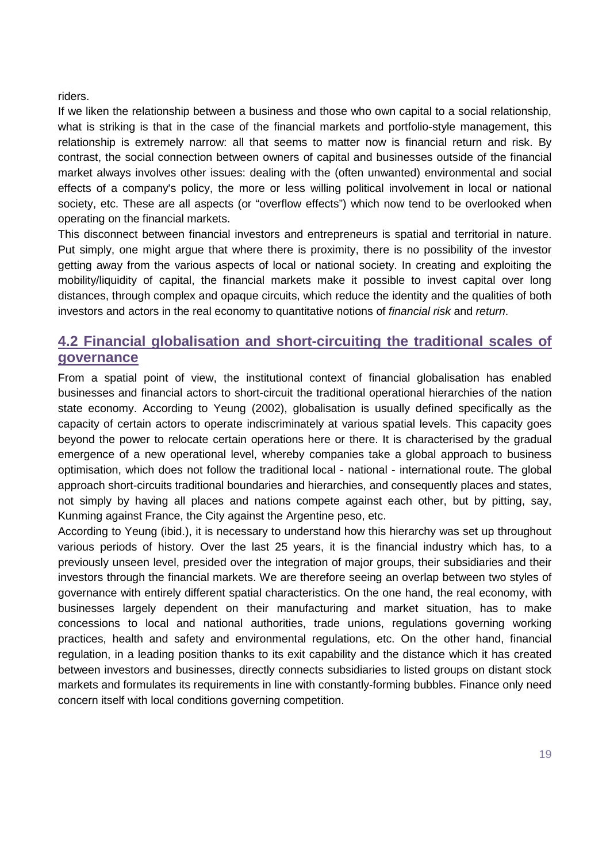#### riders.

If we liken the relationship between a business and those who own capital to a social relationship, what is striking is that in the case of the financial markets and portfolio-style management, this relationship is extremely narrow: all that seems to matter now is financial return and risk. By contrast, the social connection between owners of capital and businesses outside of the financial market always involves other issues: dealing with the (often unwanted) environmental and social effects of a company's policy, the more or less willing political involvement in local or national society, etc. These are all aspects (or "overflow effects") which now tend to be overlooked when operating on the financial markets.

This disconnect between financial investors and entrepreneurs is spatial and territorial in nature. Put simply, one might argue that where there is proximity, there is no possibility of the investor getting away from the various aspects of local or national society. In creating and exploiting the mobility/liquidity of capital, the financial markets make it possible to invest capital over long distances, through complex and opaque circuits, which reduce the identity and the qualities of both investors and actors in the real economy to quantitative notions of *financial risk* and *return*.

### **4.2 Financial globalisation and short-circuiting the traditional scales of governance**

From a spatial point of view, the institutional context of financial globalisation has enabled businesses and financial actors to short-circuit the traditional operational hierarchies of the nation state economy. According to Yeung (2002), globalisation is usually defined specifically as the capacity of certain actors to operate indiscriminately at various spatial levels. This capacity goes beyond the power to relocate certain operations here or there. It is characterised by the gradual emergence of a new operational level, whereby companies take a global approach to business optimisation, which does not follow the traditional local - national - international route. The global approach short-circuits traditional boundaries and hierarchies, and consequently places and states, not simply by having all places and nations compete against each other, but by pitting, say, Kunming against France, the City against the Argentine peso, etc.

According to Yeung (ibid.), it is necessary to understand how this hierarchy was set up throughout various periods of history. Over the last 25 years, it is the financial industry which has, to a previously unseen level, presided over the integration of major groups, their subsidiaries and their investors through the financial markets. We are therefore seeing an overlap between two styles of governance with entirely different spatial characteristics. On the one hand, the real economy, with businesses largely dependent on their manufacturing and market situation, has to make concessions to local and national authorities, trade unions, regulations governing working practices, health and safety and environmental regulations, etc. On the other hand, financial regulation, in a leading position thanks to its exit capability and the distance which it has created between investors and businesses, directly connects subsidiaries to listed groups on distant stock markets and formulates its requirements in line with constantly-forming bubbles. Finance only need concern itself with local conditions governing competition.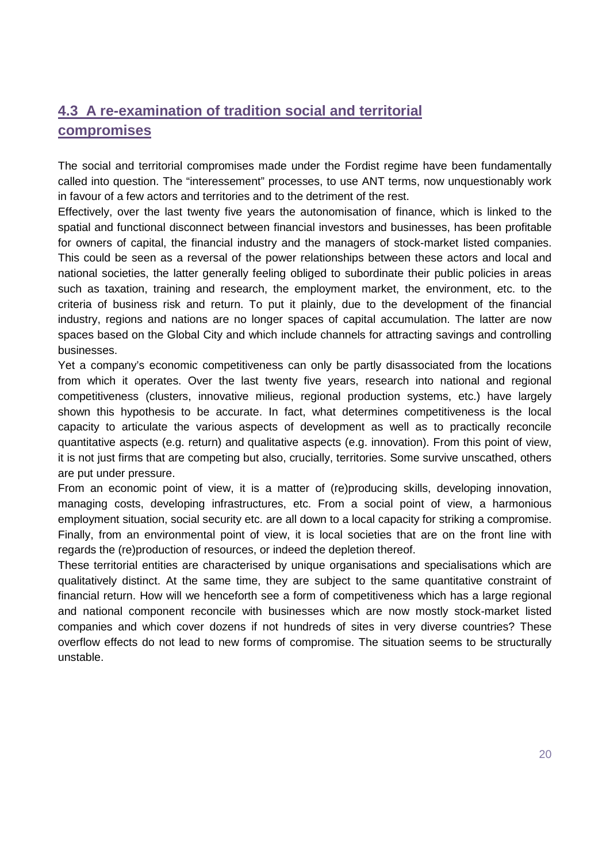## **4.3 A re-examination of tradition social and territorial compromises**

The social and territorial compromises made under the Fordist regime have been fundamentally called into question. The "interessement" processes, to use ANT terms, now unquestionably work in favour of a few actors and territories and to the detriment of the rest.

Effectively, over the last twenty five years the autonomisation of finance, which is linked to the spatial and functional disconnect between financial investors and businesses, has been profitable for owners of capital, the financial industry and the managers of stock-market listed companies. This could be seen as a reversal of the power relationships between these actors and local and national societies, the latter generally feeling obliged to subordinate their public policies in areas such as taxation, training and research, the employment market, the environment, etc. to the criteria of business risk and return. To put it plainly, due to the development of the financial industry, regions and nations are no longer spaces of capital accumulation. The latter are now spaces based on the Global City and which include channels for attracting savings and controlling businesses.

Yet a company's economic competitiveness can only be partly disassociated from the locations from which it operates. Over the last twenty five years, research into national and regional competitiveness (clusters, innovative milieus, regional production systems, etc.) have largely shown this hypothesis to be accurate. In fact, what determines competitiveness is the local capacity to articulate the various aspects of development as well as to practically reconcile quantitative aspects (e.g. return) and qualitative aspects (e.g. innovation). From this point of view, it is not just firms that are competing but also, crucially, territories. Some survive unscathed, others are put under pressure.

From an economic point of view, it is a matter of (re)producing skills, developing innovation, managing costs, developing infrastructures, etc. From a social point of view, a harmonious employment situation, social security etc. are all down to a local capacity for striking a compromise. Finally, from an environmental point of view, it is local societies that are on the front line with regards the (re)production of resources, or indeed the depletion thereof.

These territorial entities are characterised by unique organisations and specialisations which are qualitatively distinct. At the same time, they are subject to the same quantitative constraint of financial return. How will we henceforth see a form of competitiveness which has a large regional and national component reconcile with businesses which are now mostly stock-market listed companies and which cover dozens if not hundreds of sites in very diverse countries? These overflow effects do not lead to new forms of compromise. The situation seems to be structurally unstable.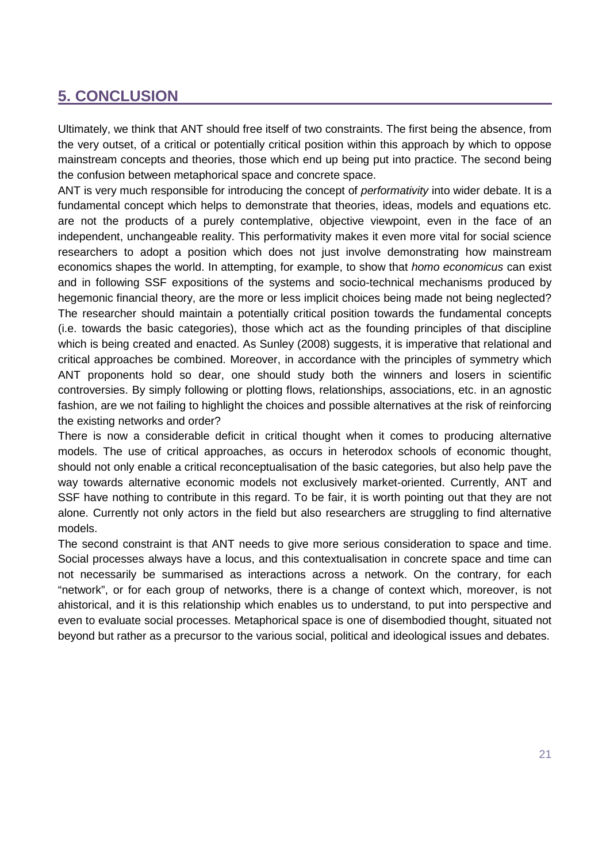## **5. CONCLUSION**

Ultimately, we think that ANT should free itself of two constraints. The first being the absence, from the very outset, of a critical or potentially critical position within this approach by which to oppose mainstream concepts and theories, those which end up being put into practice. The second being the confusion between metaphorical space and concrete space.

ANT is very much responsible for introducing the concept of *performativity* into wider debate. It is a fundamental concept which helps to demonstrate that theories, ideas, models and equations etc. are not the products of a purely contemplative, objective viewpoint, even in the face of an independent, unchangeable reality. This performativity makes it even more vital for social science researchers to adopt a position which does not just involve demonstrating how mainstream economics shapes the world. In attempting, for example, to show that *homo economicus* can exist and in following SSF expositions of the systems and socio-technical mechanisms produced by hegemonic financial theory, are the more or less implicit choices being made not being neglected? The researcher should maintain a potentially critical position towards the fundamental concepts (i.e. towards the basic categories), those which act as the founding principles of that discipline which is being created and enacted. As Sunley (2008) suggests, it is imperative that relational and critical approaches be combined. Moreover, in accordance with the principles of symmetry which ANT proponents hold so dear, one should study both the winners and losers in scientific controversies. By simply following or plotting flows, relationships, associations, etc. in an agnostic fashion, are we not failing to highlight the choices and possible alternatives at the risk of reinforcing the existing networks and order?

There is now a considerable deficit in critical thought when it comes to producing alternative models. The use of critical approaches, as occurs in heterodox schools of economic thought, should not only enable a critical reconceptualisation of the basic categories, but also help pave the way towards alternative economic models not exclusively market-oriented. Currently, ANT and SSF have nothing to contribute in this regard. To be fair, it is worth pointing out that they are not alone. Currently not only actors in the field but also researchers are struggling to find alternative models.

The second constraint is that ANT needs to give more serious consideration to space and time. Social processes always have a locus, and this contextualisation in concrete space and time can not necessarily be summarised as interactions across a network. On the contrary, for each "network", or for each group of networks, there is a change of context which, moreover, is not ahistorical, and it is this relationship which enables us to understand, to put into perspective and even to evaluate social processes. Metaphorical space is one of disembodied thought, situated not beyond but rather as a precursor to the various social, political and ideological issues and debates.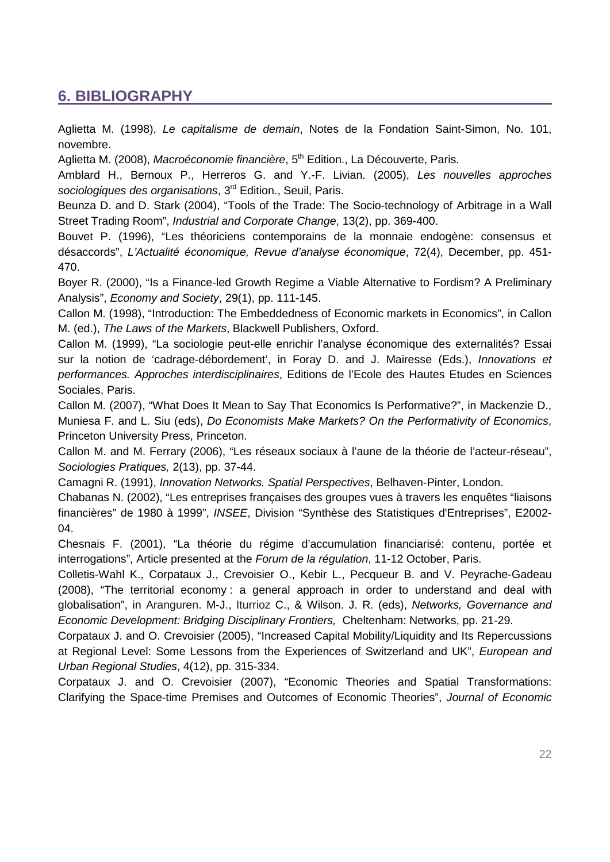## **6. BIBLIOGRAPHY**

Aglietta M. (1998), *Le capitalisme de demain*, Notes de la Fondation Saint-Simon, No. 101, novembre.

Aglietta M. (2008), Macroéconomie financière, 5<sup>th</sup> Edition., La Découverte, Paris.

Amblard H., Bernoux P., Herreros G. and Y.-F. Livian. (2005), *Les nouvelles approches sociologiques des organisations*, 3rd Edition., Seuil, Paris.

Beunza D. and D. Stark (2004), "Tools of the Trade: The Socio-technology of Arbitrage in a Wall Street Trading Room", *Industrial and Corporate Change*, 13(2), pp. 369-400.

Bouvet P. (1996), "Les théoriciens contemporains de la monnaie endogène: consensus et désaccords", *L'Actualité économique, Revue d'analyse économique*, 72(4), December, pp. 451- 470.

Boyer R. (2000), "Is a Finance-led Growth Regime a Viable Alternative to Fordism? A Preliminary Analysis", *Economy and Society*, 29(1), pp. 111-145.

Callon M. (1998), "Introduction: The Embeddedness of Economic markets in Economics", in Callon M. (ed.), *The Laws of the Markets*, Blackwell Publishers, Oxford.

Callon M. (1999), "La sociologie peut-elle enrichir l'analyse économique des externalités? Essai sur la notion de 'cadrage-débordement', in Foray D. and J. Mairesse (Eds.), *Innovations et performances. Approches interdisciplinaires*, Editions de l'Ecole des Hautes Etudes en Sciences Sociales, Paris.

Callon M. (2007), "What Does It Mean to Say That Economics Is Performative?", in Mackenzie D., Muniesa F. and L. Siu (eds), *Do Economists Make Markets? On the Performativity of Economics*, Princeton University Press, Princeton.

Callon M. and M. Ferrary (2006), "Les réseaux sociaux à l'aune de la théorie de l'acteur-réseau", *Sociologies Pratiques,* 2(13), pp. 37-44.

Camagni R. (1991), *Innovation Networks. Spatial Perspectives*, Belhaven-Pinter, London.

Chabanas N. (2002), "Les entreprises françaises des groupes vues à travers les enquêtes "liaisons financières" de 1980 à 1999", *INSEE*, Division "Synthèse des Statistiques d'Entreprises", E2002- 04.

Chesnais F. (2001), "La théorie du régime d'accumulation financiarisé: contenu, portée et interrogations", Article presented at the *Forum de la régulation*, 11-12 October, Paris.

Colletis-Wahl K., Corpataux J., Crevoisier O., Kebir L., Pecqueur B. and V. Peyrache-Gadeau (2008), "The territorial economy : a general approach in order to understand and deal with globalisation", in Aranguren. M-J., Iturrioz C., & Wilson. J. R. (eds), *Networks, Governance and Economic Development: Bridging Disciplinary Frontiers,* Cheltenham: Networks, pp. 21-29.

Corpataux J. and O. Crevoisier (2005), "Increased Capital Mobility/Liquidity and Its Repercussions at Regional Level: Some Lessons from the Experiences of Switzerland and UK", *European and Urban Regional Studies*, 4(12), pp. 315-334.

Corpataux J. and O. Crevoisier (2007), "Economic Theories and Spatial Transformations: Clarifying the Space-time Premises and Outcomes of Economic Theories", *Journal of Economic*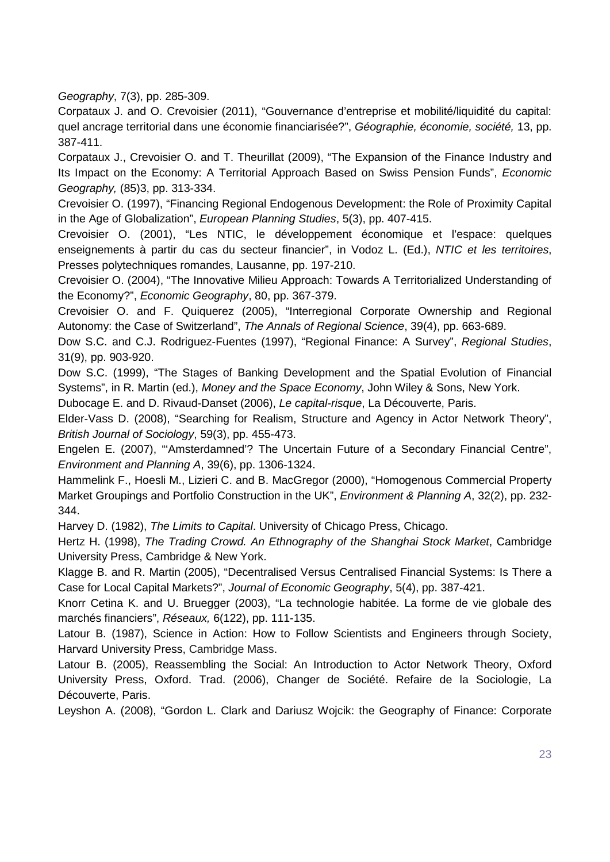*Geography*, 7(3), pp. 285-309.

Corpataux J. and O. Crevoisier (2011), "Gouvernance d'entreprise et mobilité/liquidité du capital: quel ancrage territorial dans une économie financiarisée?", *Géographie, économie, société,* 13, pp. 387-411.

Corpataux J., Crevoisier O. and T. Theurillat (2009), "The Expansion of the Finance Industry and Its Impact on the Economy: A Territorial Approach Based on Swiss Pension Funds", *Economic Geography,* (85)3, pp. 313-334.

Crevoisier O. (1997), "Financing Regional Endogenous Development: the Role of Proximity Capital in the Age of Globalization", *European Planning Studies*, 5(3), pp. 407-415.

Crevoisier O. (2001), "Les NTIC, le développement économique et l'espace: quelques enseignements à partir du cas du secteur financier", in Vodoz L. (Ed.), *NTIC et les territoires*, Presses polytechniques romandes, Lausanne, pp. 197-210.

Crevoisier O. (2004), "The Innovative Milieu Approach: Towards A Territorialized Understanding of the Economy?", *Economic Geography*, 80, pp. 367-379.

Crevoisier O. and F. Quiquerez (2005), "Interregional Corporate Ownership and Regional Autonomy: the Case of Switzerland", *The Annals of Regional Science*, 39(4), pp. 663-689.

Dow S.C. and C.J. Rodriguez-Fuentes (1997), "Regional Finance: A Survey", *Regional Studies*, 31(9), pp. 903-920.

Dow S.C. (1999), "The Stages of Banking Development and the Spatial Evolution of Financial Systems", in R. Martin (ed.), *Money and the Space Economy*, John Wiley & Sons, New York.

Dubocage E. and D. Rivaud-Danset (2006), *Le capital-risque*, La Découverte, Paris.

Elder-Vass D. (2008), "Searching for Realism, Structure and Agency in Actor Network Theory", *[British Journal of Sociology](http://www3.interscience.wiley.com/journal/121385558/abstract)*, 59(3), pp. 455-473.

Engelen E. (2007), "'Amsterdamned'? The Uncertain Future of a Secondary Financial Centre", *Environment and Planning A*, 39(6), pp. 1306-1324.

Hammelink F., Hoesli M., Lizieri C. and B. MacGregor (2000), "Homogenous Commercial Property Market Groupings and Portfolio Construction in the UK", *Environment & Planning A*, 32(2), pp. 232- 344.

Harvey D. (1982), *The Limits to Capital*. University of Chicago Press, Chicago.

Hertz H. (1998), *The Trading Crowd. An Ethnography of the Shanghai Stock Market*, Cambridge University Press, Cambridge & New York.

Klagge B. and R. Martin (2005), "Decentralised Versus Centralised Financial Systems: Is There a Case for Local Capital Markets?", *Journal of Economic Geography*, 5(4), pp. 387-421.

Knorr Cetina K. and U. Bruegger (2003), "La technologie habitée. La forme de vie globale des marchés financiers", *Réseaux,* 6(122), pp. 111-135.

Latour B. (1987), Science in Action: How to Follow Scientists and Engineers through Society, Harvard University Press, Cambridge Mass.

Latour B. (2005), Reassembling the Social: An Introduction to Actor Network Theory, Oxford University Press, Oxford. Trad. (2006), Changer de Société. Refaire de la Sociologie, La Découverte, Paris.

Leyshon A. (2008), "Gordon L. Clark and Dariusz Wojcik: the Geography of Finance: Corporate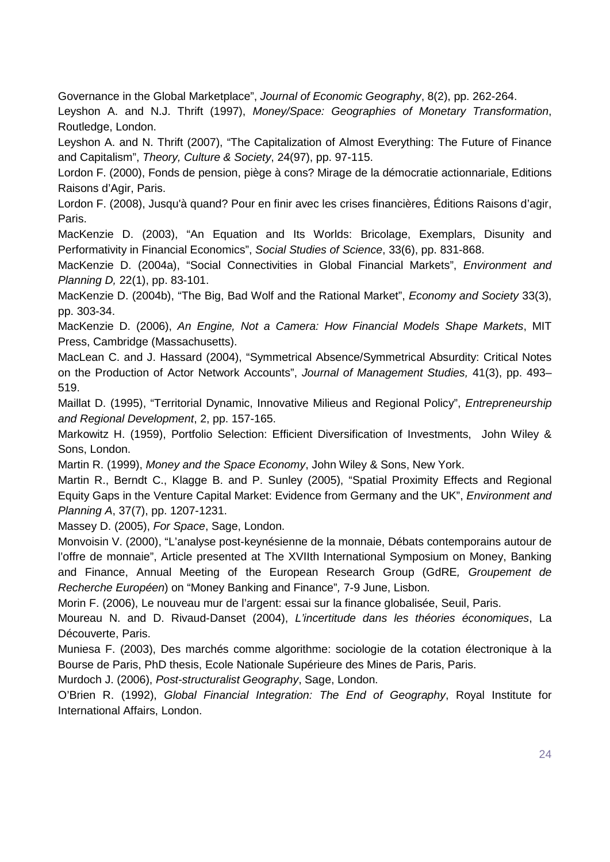Governance in the Global Marketplace", *Journal of Economic Geography*, 8(2), pp. 262-264.

Leyshon A. and N.J. Thrift (1997), *Money/Space: Geographies of Monetary Transformation*, Routledge, London.

Leyshon A. and N. Thrift (2007), "The Capitalization of Almost Everything: The Future of Finance and Capitalism", *Theory, Culture & Society*, 24(97), pp. 97-115.

Lordon F. (2000), Fonds de pension, piège à cons? Mirage de la démocratie actionnariale, Editions Raisons d'Agir, Paris.

Lordon F. (2008), Jusqu'à quand? Pour en finir avec les crises financières, Éditions Raisons d'agir, Paris.

MacKenzie D. (2003), "An Equation and Its Worlds: Bricolage, Exemplars, Disunity and Performativity in Financial Economics", *Social Studies of Science*, 33(6), pp. 831-868.

MacKenzie D. (2004a), "Social Connectivities in Global Financial Markets", *Environment and Planning D,* 22(1), pp. 83-101.

MacKenzie D. (2004b), "The Big, Bad Wolf and the Rational Market", *Economy and Society* 33(3), pp. 303-34.

MacKenzie D. (2006), *An Engine, Not a Camera: How Financial Models Shape Markets*, MIT Press, Cambridge (Massachusetts).

MacLean C. and J. Hassard (2004), "Symmetrical Absence/Symmetrical Absurdity: Critical Notes on the Production of Actor Network Accounts", *Journal of Management Studies,* 41(3), pp. 493– 519.

Maillat D. (1995), "Territorial Dynamic, Innovative Milieus and Regional Policy", *Entrepreneurship and Regional Development*, 2, pp. 157-165.

Markowitz H. (1959), Portfolio Selection: Efficient Diversification of Investments, John Wiley & Sons, London.

Martin R. (1999), *Money and the Space Economy*, John Wiley & Sons, New York.

Martin R., Berndt C., Klagge B. and P. Sunley (2005), "Spatial Proximity Effects and Regional Equity Gaps in the Venture Capital Market: Evidence from Germany and the UK", *Environment and Planning A*, 37(7), pp. 1207-1231.

Massey D. (2005), *For Space*, Sage, London.

Monvoisin V. (2000), "L'analyse post-keynésienne de la monnaie, Débats contemporains autour de l'offre de monnaie", Article presented at The XVIIth International Symposium on Money, Banking and Finance, Annual Meeting of the European Research Group (GdRE*, Groupement de Recherche Européen*) on "Money Banking and Finance"*,* 7-9 June, Lisbon.

Morin F. (2006), Le nouveau mur de l'argent: essai sur la finance globalisée, Seuil, Paris.

Moureau N. and D. Rivaud-Danset (2004), *L'incertitude dans les théories économiques*, La Découverte, Paris.

Muniesa F. (2003), Des marchés comme algorithme: sociologie de la cotation électronique à la Bourse de Paris, PhD thesis, Ecole Nationale Supérieure des Mines de Paris, Paris.

Murdoch J. (2006), *Post-structuralist Geography*, Sage, London.

O'Brien R. (1992), *Global Financial Integration: The End of Geography*, Royal Institute for International Affairs, London.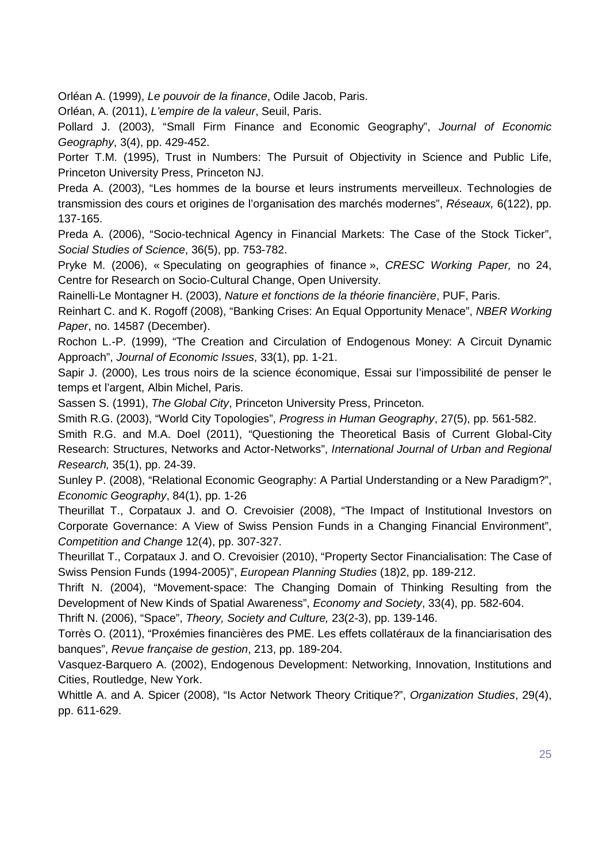Orléan A. (1999), *Le pouvoir de la finance*, Odile Jacob, Paris.

Orléan, A. (2011), *L'empire de la valeur*, Seuil, Paris.

Pollard J. (2003), "Small Firm Finance and Economic Geography", *Journal of Economic Geography*, 3(4), pp. 429-452.

Porter T.M. (1995), Trust in Numbers: The Pursuit of Objectivity in Science and Public Life, Princeton University Press, Princeton NJ.

Preda A. (2003), "Les hommes de la bourse et leurs instruments merveilleux. Technologies de transmission des cours et origines de l'organisation des marchés modernes", *Réseaux,* 6(122), pp. 137-165.

Preda A. (2006), "Socio-technical Agency in Financial Markets: The Case of the Stock Ticker", *Social Studies of Science*, 36(5), pp. 753-782.

Pryke M. (2006), « Speculating on geographies of finance », *CRESC Working Paper,* no 24, Centre for Research on Socio-Cultural Change, Open University.

Rainelli-Le Montagner H. (2003), *Nature et fonctions de la théorie financière*, PUF, Paris.

Reinhart C. and K. Rogoff (2008), "Banking Crises: An Equal Opportunity Menace", *NBER Working Paper*, no. 14587 (December).

Rochon L.-P. (1999), "The Creation and Circulation of Endogenous Money: A Circuit Dynamic Approach", *Journal of Economic Issues*, 33(1), pp. 1-21.

Sapir J. (2000), Les trous noirs de la science économique, Essai sur l'impossibilité de penser le temps et l'argent, Albin Michel, Paris.

Sassen S. (1991), *The Global City*, Princeton University Press, Princeton.

Smith R.G. (2003), "World City Topologies", *Progress in Human Geography*, 27(5), pp. 561-582.

Smith R.G. and M.A. Doel (2011), "Questioning the Theoretical Basis of Current Global-City Research: Structures, Networks and Actor-Networks", *International Journal of Urban and Regional Research,* 35(1), pp. 24-39.

Sunley P. (2008), "Relational Economic Geography: A Partial Understanding or a New Paradigm?", *Economic Geography*, 84(1), pp. 1-26

Theurillat T., Corpataux J. and O. Crevoisier (2008), "The Impact of Institutional Investors on Corporate Governance: A View of Swiss Pension Funds in a Changing Financial Environment", *Competition and Change* 12(4), pp. 307-327.

Theurillat T., Corpataux J. and O. Crevoisier (2010), "Property Sector Financialisation: The Case of Swiss Pension Funds (1994-2005)", *European Planning Studies* (18)2, pp. 189-212.

Thrift N. (2004), "Movement-space: The Changing Domain of Thinking Resulting from the Development of New Kinds of Spatial Awareness", *Economy and Society*, 33(4), pp. 582-604.

Thrift N. (2006), "Space", *Theory, Society and Culture,* 23(2-3), pp. 139-146.

Torrès O. (2011), "Proxémies financières des PME. Les effets collatéraux de la financiarisation des banques", *Revue française de gestion*, 213, pp. 189-204.

Vasquez-Barquero A. (2002), Endogenous Development: Networking, Innovation, Institutions and Cities, Routledge, New York.

Whittle A. and A. Spicer (2008), "Is Actor Network Theory Critique?", *Organization Studies*, 29(4), pp. 611-629.